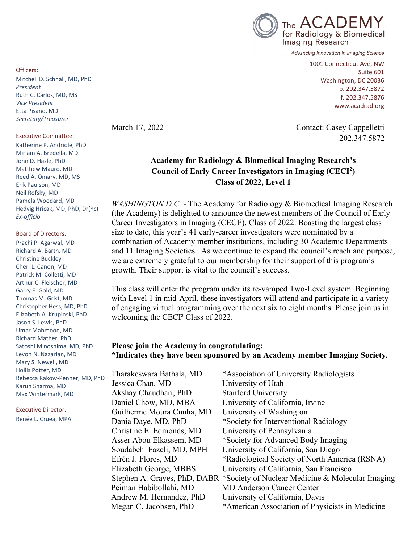

Advancing Innovation in Imaging Science

1001 Connecticut Ave, NW Suite 601 Washington, DC 20036 p. 202.347.5872 f. 202.347.5876 www.acadrad.org

March 17, 2022 Contact: Casey Cappelletti 202.347.5872

## **Academy for Radiology & Biomedical Imaging Research's Council of Early Career Investigators in Imaging (CECI2) Class of 2022, Level 1**

*WASHINGTON D.C.* - The Academy for Radiology & Biomedical Imaging Research (the Academy) is delighted to announce the newest members of the Council of Early Career Investigators in Imaging (CECI²), Class of 2022. Boasting the largest class size to date, this year's 41 early-career investigators were nominated by a combination of Academy member institutions, including 30 Academic Departments and 11 Imaging Societies. As we continue to expand the council's reach and purpose, we are extremely grateful to our membership for their support of this program's growth. Their support is vital to the council's success.

This class will enter the program under its re-vamped Two-Level system. Beginning with Level 1 in mid-April, these investigators will attend and participate in a variety of engaging virtual programming over the next six to eight months. Please join us in welcoming the CECI² Class of 2022.

#### **Please join the Academy in congratulating: \*Indicates they have been sponsored by an Academy member Imaging Society.**

Tharakeswara Bathala, MD \*Association of University Radiologists Jessica Chan, MD University of Utah Akshay Chaudhari, PhD Stanford University Daniel Chow, MD, MBA University of California, Irvine Guilherme Moura Cunha, MD University of Washington Dania Daye, MD, PhD \*Society for Interventional Radiology Christine E. Edmonds, MD University of Pennsylvania Asser Abou Elkassem, MD \*Society for Advanced Body Imaging Soudabeh Fazeli, MD, MPH University of California, San Diego Efrén J. Flores, MD \*Radiological Society of North America (RSNA) Elizabeth George, MBBS University of California, San Francisco Stephen A. Graves, PhD, DABR \*Society of Nuclear Medicine & Molecular Imaging Peiman Habibollahi, MD MD Anderson Cancer Center Andrew M. Hernandez, PhD University of California, Davis Megan C. Jacobsen, PhD \*American Association of Physicists in Medicine

Officers:

Mitchell D. Schnall, MD, PhD *President* Ruth C. Carlos, MD, MS *Vice President* Etta Pisano, MD *Secretary/Treasurer*

#### Executive Committee:

Katherine P. Andriole, PhD Miriam A. Bredella, MD John D. Hazle, PhD Matthew Mauro, MD Reed A. Omary, MD, MS Erik Paulson, MD Neil Rofsky, MD Pamela Woodard, MD Hedvig Hricak, MD, PhD, Dr(hc) *Ex-officio*

Board of Directors: Prachi P. Agarwal, MD Richard A. Barth, MD Christine Buckley Cheri L. Canon, MD Patrick M. Colletti, MD Arthur C. Fleischer, MD Garry E. Gold, MD Thomas M. Grist, MD Christopher Hess, MD, PhD Elizabeth A. Krupinski, PhD Jason S. Lewis, PhD Umar Mahmood, MD Richard Mather, PhD Satoshi Minoshima, MD, PhD Levon N. Nazarian, MD Mary S. Newell, MD Hollis Potter, MD Rebecca Rakow-Penner, MD, PhD Karun Sharma, MD Max Wintermark, MD

Executive Director: Renée L. Cruea, MPA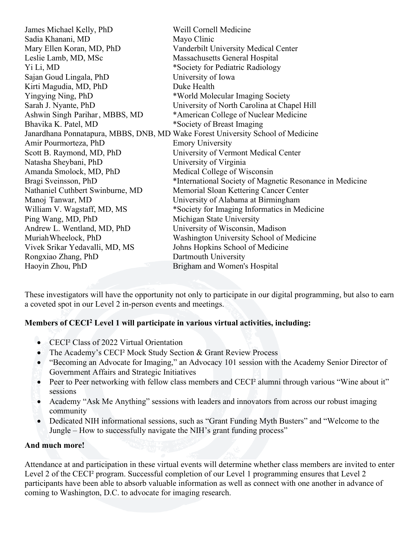| James Michael Kelly, PhD         | Weill Cornell Medicine                                                          |
|----------------------------------|---------------------------------------------------------------------------------|
| Sadia Khanani, MD                | Mayo Clinic                                                                     |
| Mary Ellen Koran, MD, PhD        | Vanderbilt University Medical Center                                            |
| Leslie Lamb, MD, MSc             | Massachusetts General Hospital                                                  |
| Yi Li, MD                        | *Society for Pediatric Radiology                                                |
| Sajan Goud Lingala, PhD          | University of Iowa                                                              |
| Kirti Magudia, MD, PhD           | Duke Health                                                                     |
| Yingying Ning, PhD               | *World Molecular Imaging Society                                                |
| Sarah J. Nyante, PhD             | University of North Carolina at Chapel Hill                                     |
| Ashwin Singh Parihar, MBBS, MD   | *American College of Nuclear Medicine                                           |
| Bhavika K. Patel, MD             | *Society of Breast Imaging                                                      |
|                                  | Janardhana Ponnatapura, MBBS, DNB, MD Wake Forest University School of Medicine |
| Amir Pourmorteza, PhD            | <b>Emory University</b>                                                         |
| Scott B. Raymond, MD, PhD        | University of Vermont Medical Center                                            |
| Natasha Sheybani, PhD            | University of Virginia                                                          |
| Amanda Smolock, MD, PhD          | Medical College of Wisconsin                                                    |
| Bragi Sveinsson, PhD             | *International Society of Magnetic Resonance in Medicine                        |
| Nathaniel Cuthbert Swinburne, MD | Memorial Sloan Kettering Cancer Center                                          |
| Manoj Tanwar, MD                 | University of Alabama at Birmingham                                             |
| William V. Wagstaff, MD, MS      | *Society for Imaging Informatics in Medicine                                    |
| Ping Wang, MD, PhD               | Michigan State University                                                       |
| Andrew L. Wentland, MD, PhD      | University of Wisconsin, Madison                                                |
| Muriah Wheelock, PhD             | Washington University School of Medicine                                        |
| Vivek Srikar Yedavalli, MD, MS   | Johns Hopkins School of Medicine                                                |
| Rongxiao Zhang, PhD              | Dartmouth University                                                            |
| Haoyin Zhou, PhD                 | Brigham and Women's Hospital                                                    |

These investigators will have the opportunity not only to participate in our digital programming, but also to earn a coveted spot in our Level 2 in-person events and meetings.

### **Members of CECI2 Level 1 will participate in various virtual activities, including:**

- CECI² Class of 2022 Virtual Orientation
- The Academy's CECI<sup>2</sup> Mock Study Section & Grant Review Process
- "Becoming an Advocate for Imaging," an Advocacy 101 session with the Academy Senior Director of Government Affairs and Strategic Initiatives
- Peer to Peer networking with fellow class members and CECI<sup>2</sup> alumni through various "Wine about it" sessions
- Academy "Ask Me Anything" sessions with leaders and innovators from across our robust imaging community
- Dedicated NIH informational sessions, such as "Grant Funding Myth Busters" and "Welcome to the Jungle – How to successfully navigate the NIH's grant funding process"

#### **And much more!**

Attendance at and participation in these virtual events will determine whether class members are invited to enter Level 2 of the CECI<sup>2</sup> program. Successful completion of our Level 1 programming ensures that Level 2 participants have been able to absorb valuable information as well as connect with one another in advance of coming to Washington, D.C. to advocate for imaging research.